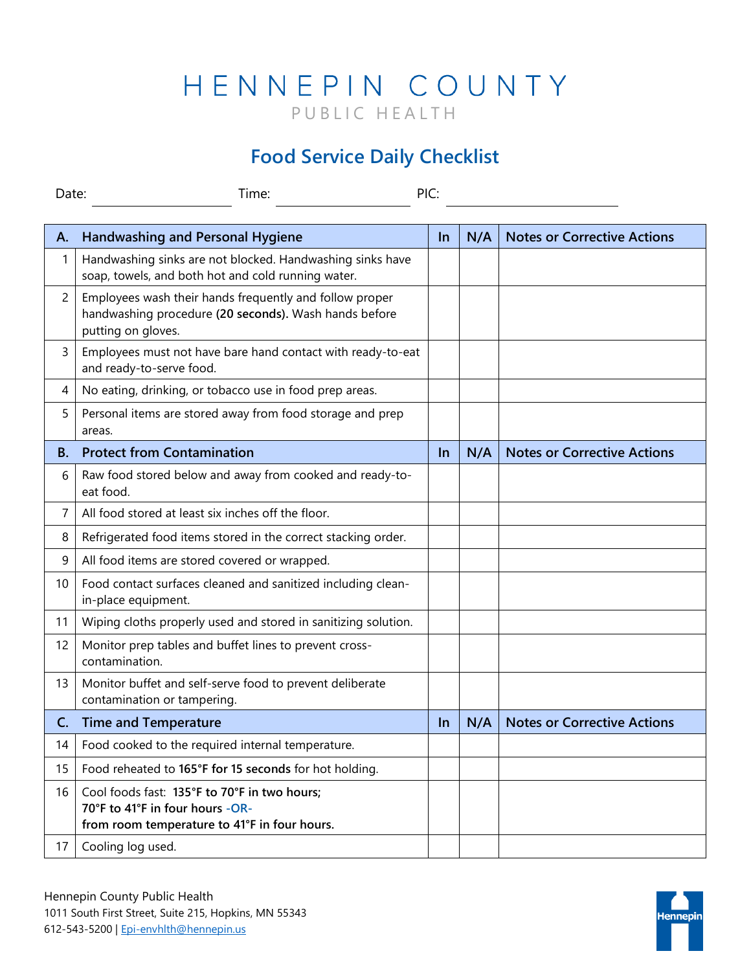## HENNEPIN COUNTY PUBLIC HEALTH

## **Food Service Daily Checklist**

| Time:<br>Date: |                                                                                                                                        | PIC:      |     |                                    |
|----------------|----------------------------------------------------------------------------------------------------------------------------------------|-----------|-----|------------------------------------|
| Α.             | <b>Handwashing and Personal Hygiene</b>                                                                                                | $\ln$     | N/A | <b>Notes or Corrective Actions</b> |
| 1              | Handwashing sinks are not blocked. Handwashing sinks have<br>soap, towels, and both hot and cold running water.                        |           |     |                                    |
| 2              | Employees wash their hands frequently and follow proper<br>handwashing procedure (20 seconds). Wash hands before<br>putting on gloves. |           |     |                                    |
| 3              | Employees must not have bare hand contact with ready-to-eat<br>and ready-to-serve food.                                                |           |     |                                    |
| 4              | No eating, drinking, or tobacco use in food prep areas.                                                                                |           |     |                                    |
| 5              | Personal items are stored away from food storage and prep<br>areas.                                                                    |           |     |                                    |
| <b>B.</b>      | <b>Protect from Contamination</b>                                                                                                      | <u>In</u> | N/A | <b>Notes or Corrective Actions</b> |
| 6              | Raw food stored below and away from cooked and ready-to-<br>eat food.                                                                  |           |     |                                    |
| 7              | All food stored at least six inches off the floor.                                                                                     |           |     |                                    |
| 8              | Refrigerated food items stored in the correct stacking order.                                                                          |           |     |                                    |
| 9              | All food items are stored covered or wrapped.                                                                                          |           |     |                                    |
| 10             | Food contact surfaces cleaned and sanitized including clean-<br>in-place equipment.                                                    |           |     |                                    |
| 11             | Wiping cloths properly used and stored in sanitizing solution.                                                                         |           |     |                                    |
| 12             | Monitor prep tables and buffet lines to prevent cross-<br>contamination.                                                               |           |     |                                    |
| 13             | Monitor buffet and self-serve food to prevent deliberate<br>contamination or tampering.                                                |           |     |                                    |
| C.             | <b>Time and Temperature</b>                                                                                                            | <u>In</u> | N/A | <b>Notes or Corrective Actions</b> |
| 14             | Food cooked to the required internal temperature.                                                                                      |           |     |                                    |
| 15             | Food reheated to 165°F for 15 seconds for hot holding.                                                                                 |           |     |                                    |
| 16             | Cool foods fast: 135°F to 70°F in two hours;<br>70°F to 41°F in four hours -OR-<br>from room temperature to 41°F in four hours.        |           |     |                                    |
| 17             | Cooling log used.                                                                                                                      |           |     |                                    |